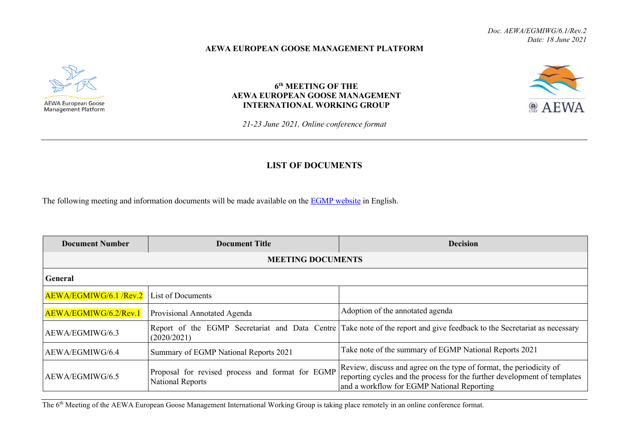## **AEWA EUROPEAN GOOSE MANAGEMENT PLATFORM**



## **6th MEETING OF THE AEWA EUROPEAN GOOSE MANAGEMENT INTERNATIONAL WORKING GROUP**

**@ AEWA** 

*21-23 June 2021, Online conference format*

## **LIST OF DOCUMENTS**

The following meeting and information documents will be made available on the **EGMP** website in English.

| <b>Document Number</b>   | <b>Document Title</b>                                                       | <b>Decision</b>                                                                                                                                                                                |  |
|--------------------------|-----------------------------------------------------------------------------|------------------------------------------------------------------------------------------------------------------------------------------------------------------------------------------------|--|
| <b>MEETING DOCUMENTS</b> |                                                                             |                                                                                                                                                                                                |  |
| <b>General</b>           |                                                                             |                                                                                                                                                                                                |  |
| AEWA/EGMIWG/6.1 /Rev.2   | List of Documents                                                           |                                                                                                                                                                                                |  |
| AEWA/EGMIWG/6.2/Rev.1    | Provisional Annotated Agenda                                                | Adoption of the annotated agenda                                                                                                                                                               |  |
| AEWA/EGMIWG/6.3          | (2020/2021)                                                                 | Report of the EGMP Secretariat and Data Centre Take note of the report and give feedback to the Secretariat as necessary                                                                       |  |
| AEWA/EGMIWG/6.4          | Summary of EGMP National Reports 2021                                       | Take note of the summary of EGMP National Reports 2021                                                                                                                                         |  |
| AEWA/EGMIWG/6.5          | Proposal for revised process and format for EGMP<br><b>National Reports</b> | Review, discuss and agree on the type of format, the periodicity of<br>reporting cycles and the process for the further development of templates<br>and a workflow for EGMP National Reporting |  |

The 6<sup>th</sup> Meeting of the AEWA European Goose Management International Working Group is taking place remotely in an online conference format.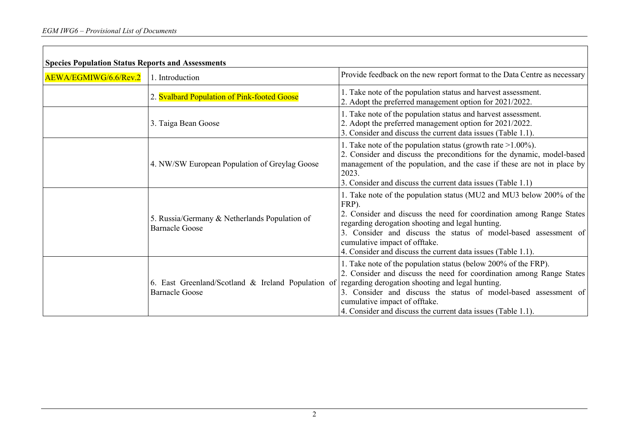| <b>Species Population Status Reports and Assessments</b> |                                                                                                                              |                                                                                                                                                                                                                                                                                                                                                                               |
|----------------------------------------------------------|------------------------------------------------------------------------------------------------------------------------------|-------------------------------------------------------------------------------------------------------------------------------------------------------------------------------------------------------------------------------------------------------------------------------------------------------------------------------------------------------------------------------|
| AEWA/EGMIWG/6.6/Rev.2                                    | 1. Introduction                                                                                                              | Provide feedback on the new report format to the Data Centre as necessary                                                                                                                                                                                                                                                                                                     |
|                                                          | 2. Svalbard Population of Pink-footed Goose                                                                                  | 1. Take note of the population status and harvest assessment.<br>2. Adopt the preferred management option for 2021/2022.                                                                                                                                                                                                                                                      |
|                                                          | 3. Taiga Bean Goose                                                                                                          | 1. Take note of the population status and harvest assessment.<br>2. Adopt the preferred management option for 2021/2022.<br>3. Consider and discuss the current data issues (Table 1.1).                                                                                                                                                                                      |
|                                                          | 4. NW/SW European Population of Greylag Goose                                                                                | 1. Take note of the population status (growth rate $>1.00\%$ ).<br>2. Consider and discuss the preconditions for the dynamic, model-based<br>management of the population, and the case if these are not in place by<br>2023.<br>3. Consider and discuss the current data issues (Table 1.1)                                                                                  |
|                                                          | 5. Russia/Germany & Netherlands Population of<br><b>Barnacle Goose</b>                                                       | 1. Take note of the population status (MU2 and MU3 below 200% of the<br>FRP).<br>2. Consider and discuss the need for coordination among Range States<br>regarding derogation shooting and legal hunting.<br>3. Consider and discuss the status of model-based assessment of<br>cumulative impact of offtake.<br>4. Consider and discuss the current data issues (Table 1.1). |
|                                                          | 6. East Greenland/Scotland & Ireland Population of regarding derogation shooting and legal hunting.<br><b>Barnacle Goose</b> | 1. Take note of the population status (below 200% of the FRP).<br>2. Consider and discuss the need for coordination among Range States<br>3. Consider and discuss the status of model-based assessment of<br>cumulative impact of offtake.<br>4. Consider and discuss the current data issues (Table 1.1).                                                                    |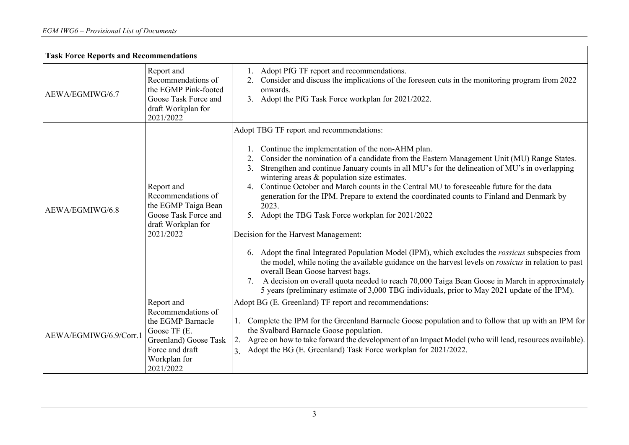| <b>Task Force Reports and Recommendations</b> |                                                                                                                                                |                                                                                                                                                                                                                                                                                                                                                                                                                                                                                                                                                                                                                                                                                                                                                                                                                                                                                                                                                                                                                                                                                                                                     |
|-----------------------------------------------|------------------------------------------------------------------------------------------------------------------------------------------------|-------------------------------------------------------------------------------------------------------------------------------------------------------------------------------------------------------------------------------------------------------------------------------------------------------------------------------------------------------------------------------------------------------------------------------------------------------------------------------------------------------------------------------------------------------------------------------------------------------------------------------------------------------------------------------------------------------------------------------------------------------------------------------------------------------------------------------------------------------------------------------------------------------------------------------------------------------------------------------------------------------------------------------------------------------------------------------------------------------------------------------------|
| AEWA/EGMIWG/6.7                               | Report and<br>Recommendations of<br>the EGMP Pink-footed<br>Goose Task Force and<br>draft Workplan for<br>2021/2022                            | Adopt PfG TF report and recommendations.<br>1.<br>Consider and discuss the implications of the foreseen cuts in the monitoring program from 2022<br>onwards.<br>3. Adopt the PfG Task Force workplan for 2021/2022.                                                                                                                                                                                                                                                                                                                                                                                                                                                                                                                                                                                                                                                                                                                                                                                                                                                                                                                 |
| AEWA/EGMIWG/6.8                               | Report and<br>Recommendations of<br>the EGMP Taiga Bean<br>Goose Task Force and<br>draft Workplan for<br>2021/2022                             | Adopt TBG TF report and recommendations:<br>Continue the implementation of the non-AHM plan.<br>Consider the nomination of a candidate from the Eastern Management Unit (MU) Range States.<br>2.<br>Strengthen and continue January counts in all MU's for the delineation of MU's in overlapping<br>3.<br>wintering areas & population size estimates.<br>Continue October and March counts in the Central MU to foreseeable future for the data<br>4.<br>generation for the IPM. Prepare to extend the coordinated counts to Finland and Denmark by<br>2023.<br>5. Adopt the TBG Task Force workplan for 2021/2022<br>Decision for the Harvest Management:<br>6. Adopt the final Integrated Population Model (IPM), which excludes the <i>rossicus</i> subspecies from<br>the model, while noting the available guidance on the harvest levels on <i>rossicus</i> in relation to past<br>overall Bean Goose harvest bags.<br>A decision on overall quota needed to reach 70,000 Taiga Bean Goose in March in approximately<br>7.<br>5 years (preliminary estimate of 3,000 TBG individuals, prior to May 2021 update of the IPM). |
| AEWA/EGMIWG/6.9/Corr.1                        | Report and<br>Recommendations of<br>the EGMP Barnacle<br>Goose TF (E.<br>Greenland) Goose Task<br>Force and draft<br>Workplan for<br>2021/2022 | Adopt BG (E. Greenland) TF report and recommendations:<br>1. Complete the IPM for the Greenland Barnacle Goose population and to follow that up with an IPM for<br>the Svalbard Barnacle Goose population.<br>2. Agree on how to take forward the development of an Impact Model (who will lead, resources available).<br>Adopt the BG (E. Greenland) Task Force workplan for 2021/2022.<br>3.                                                                                                                                                                                                                                                                                                                                                                                                                                                                                                                                                                                                                                                                                                                                      |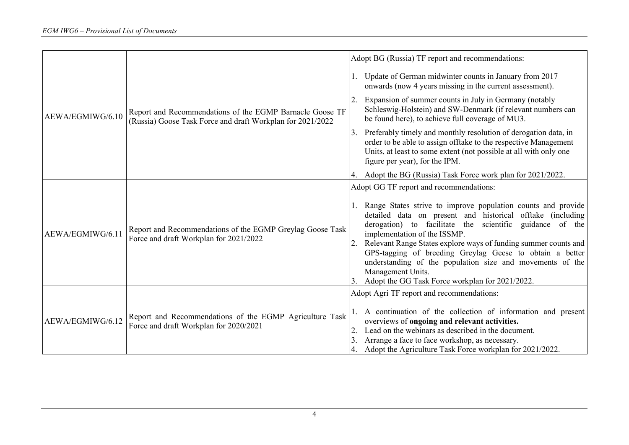|                  |                                                                                                                        |                | Adopt BG (Russia) TF report and recommendations:                                                                                                                                                                                                                                                                                                                                                                                                                                           |
|------------------|------------------------------------------------------------------------------------------------------------------------|----------------|--------------------------------------------------------------------------------------------------------------------------------------------------------------------------------------------------------------------------------------------------------------------------------------------------------------------------------------------------------------------------------------------------------------------------------------------------------------------------------------------|
| AEWA/EGMIWG/6.10 | Report and Recommendations of the EGMP Barnacle Goose TF<br>(Russia) Goose Task Force and draft Workplan for 2021/2022 |                | Update of German midwinter counts in January from 2017<br>onwards (now 4 years missing in the current assessment).                                                                                                                                                                                                                                                                                                                                                                         |
|                  |                                                                                                                        |                | Expansion of summer counts in July in Germany (notably<br>Schleswig-Holstein) and SW-Denmark (if relevant numbers can<br>be found here), to achieve full coverage of MU3.                                                                                                                                                                                                                                                                                                                  |
|                  |                                                                                                                        | 3.             | Preferably timely and monthly resolution of derogation data, in<br>order to be able to assign offtake to the respective Management<br>Units, at least to some extent (not possible at all with only one<br>figure per year), for the IPM.                                                                                                                                                                                                                                                  |
|                  |                                                                                                                        |                | Adopt the BG (Russia) Task Force work plan for 2021/2022.                                                                                                                                                                                                                                                                                                                                                                                                                                  |
|                  |                                                                                                                        |                | Adopt GG TF report and recommendations:                                                                                                                                                                                                                                                                                                                                                                                                                                                    |
| AEWA/EGMIWG/6.11 | Report and Recommendations of the EGMP Greylag Goose Task<br>Force and draft Workplan for 2021/2022                    |                | Range States strive to improve population counts and provide<br>detailed data on present and historical offtake (including<br>derogation) to facilitate the scientific guidance of the<br>implementation of the ISSMP.<br>Relevant Range States explore ways of funding summer counts and<br>GPS-tagging of breeding Greylag Geese to obtain a better<br>understanding of the population size and movements of the<br>Management Units.<br>Adopt the GG Task Force workplan for 2021/2022. |
| AEWA/EGMIWG/6.12 | Report and Recommendations of the EGMP Agriculture Task<br>Force and draft Workplan for 2020/2021                      | $\overline{2}$ | Adopt Agri TF report and recommendations:<br>A continuation of the collection of information and present<br>overviews of ongoing and relevant activities.<br>Lead on the webinars as described in the document.<br>Arrange a face to face workshop, as necessary.<br>Adopt the Agriculture Task Force workplan for 2021/2022.                                                                                                                                                              |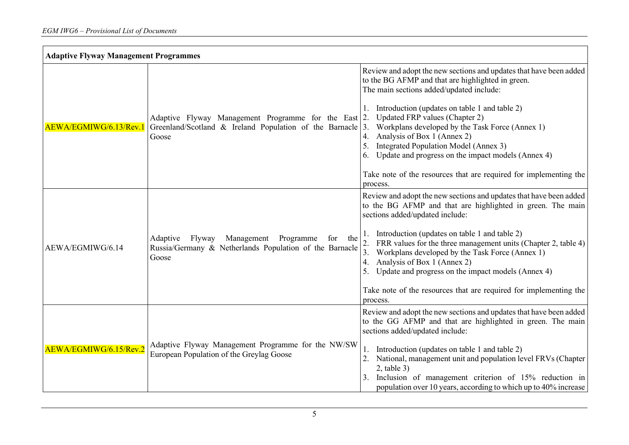| <b>Adaptive Flyway Management Programmes</b> |                                                                                                                              |                                                                                                                                                                                                                                                                                                                                                                                                                                                                                                                                                  |
|----------------------------------------------|------------------------------------------------------------------------------------------------------------------------------|--------------------------------------------------------------------------------------------------------------------------------------------------------------------------------------------------------------------------------------------------------------------------------------------------------------------------------------------------------------------------------------------------------------------------------------------------------------------------------------------------------------------------------------------------|
| AEWA/EGMIWG/6.13/Rev.1                       | Adaptive Flyway Management Programme for the East 2.<br>Greenland/Scotland & Ireland Population of the Barnacle<br>Goose     | Review and adopt the new sections and updates that have been added<br>to the BG AFMP and that are highlighted in green.<br>The main sections added/updated include:<br>Introduction (updates on table 1 and table 2)<br>Updated FRP values (Chapter 2)<br>3.<br>Workplans developed by the Task Force (Annex 1)<br>4.<br>Analysis of Box 1 (Annex 2)<br>5.<br>Integrated Population Model (Annex 3)<br>Update and progress on the impact models (Annex 4)<br>6.<br>Take note of the resources that are required for implementing the<br>process. |
| AEWA/EGMIWG/6.14                             | Management Programme<br>Flyway<br>Adaptive<br>for<br>the<br>Russia/Germany & Netherlands Population of the Barnacle<br>Goose | Review and adopt the new sections and updates that have been added<br>to the BG AFMP and that are highlighted in green. The main<br>sections added/updated include:<br>Introduction (updates on table 1 and table 2)<br>FRR values for the three management units (Chapter 2, table 4)<br>3.<br>Workplans developed by the Task Force (Annex 1)<br>Analysis of Box 1 (Annex 2)<br>4.<br>Update and progress on the impact models (Annex 4)<br>Take note of the resources that are required for implementing the<br>process.                      |
| A EWA/EGMIWG/6.15/Rev.2                      | Adaptive Flyway Management Programme for the NW/SW<br>European Population of the Greylag Goose                               | Review and adopt the new sections and updates that have been added<br>to the GG AFMP and that are highlighted in green. The main<br>sections added/updated include:<br>Introduction (updates on table 1 and table 2)<br>National, management unit and population level FRVs (Chapter<br>$2$ , table $3$ )<br>Inclusion of management criterion of 15% reduction in<br>population over 10 years, according to which up to 40% increase                                                                                                            |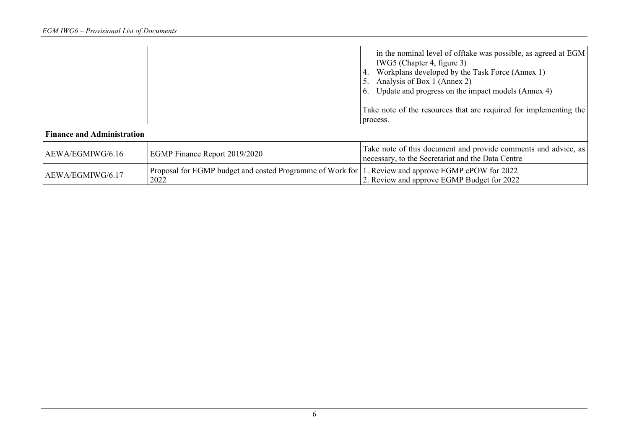| <b>Finance and Administration</b> |                                                                                                            | in the nominal level of offtake was possible, as agreed at EGM<br>IWG5 (Chapter 4, figure 3)<br>Workplans developed by the Task Force (Annex 1)<br>Analysis of Box 1 (Annex 2)<br>6. Update and progress on the impact models (Annex 4)<br>Take note of the resources that are required for implementing the<br>process. |
|-----------------------------------|------------------------------------------------------------------------------------------------------------|--------------------------------------------------------------------------------------------------------------------------------------------------------------------------------------------------------------------------------------------------------------------------------------------------------------------------|
| AEWA/EGMIWG/6.16                  | EGMP Finance Report 2019/2020                                                                              | Take note of this document and provide comments and advice, as<br>necessary, to the Secretariat and the Data Centre                                                                                                                                                                                                      |
| AEWA/EGMIWG/6.17                  | Proposal for EGMP budget and costed Programme of Work for 1. Review and approve EGMP cPOW for 2022<br>2022 | 2. Review and approve EGMP Budget for 2022                                                                                                                                                                                                                                                                               |